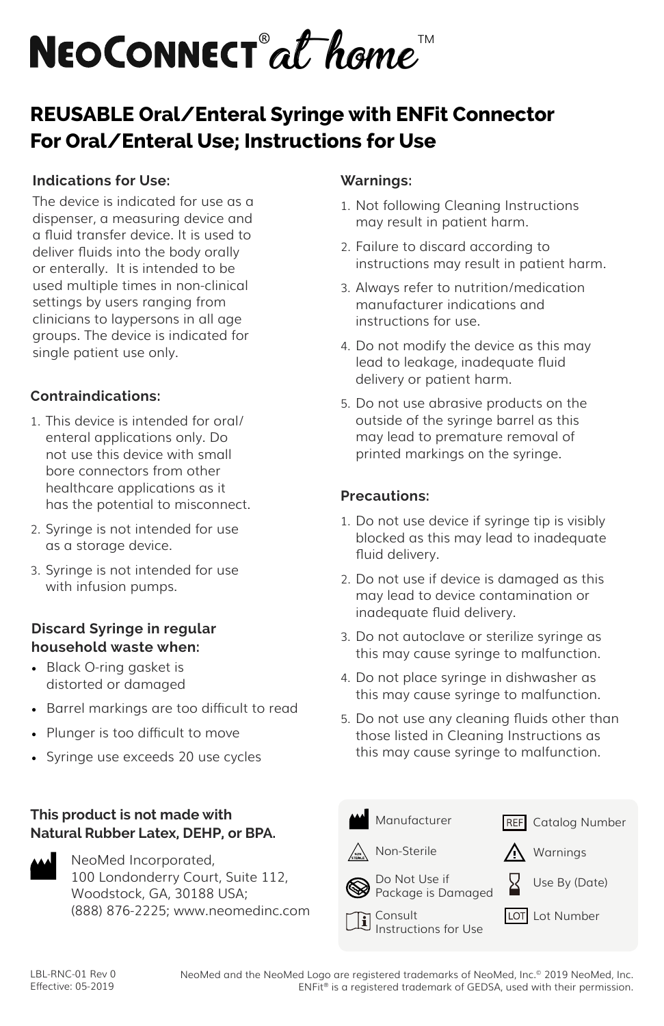

## **REUSABLE Oral/Enteral Syringe with ENFit Connector For Oral/Enteral Use; Instructions for Use**

## **Indications for Use:**

The device is indicated for use as a dispenser, a measuring device and a fluid transfer device. It is used to deliver fluids into the body orally or enterally. It is intended to be used multiple times in non-clinical settings by users ranging from clinicians to laypersons in all age groups. The device is indicated for single patient use only.

## **Contraindications:**

- 1. This device is intended for oral/ enteral applications only. Do not use this device with small bore connectors from other healthcare applications as it has the potential to misconnect.
- 2. Syringe is not intended for use as a storage device.
- 3. Syringe is not intended for use with infusion pumps.

## **Discard Syringe in regular household waste when:**

- Black O-ring gasket is distorted or damaged
- Barrel markings are too difficult to read
- Plunger is too difficult to move
- Syringe use exceeds 20 use cycles

## **This product is not made with Natural Rubber Latex, DEHP, or BPA.**



NeoMed Incorporated, 100 Londonderry Court, Suite 112, Woodstock, GA, 30188 USA; (888) 876-2225; www.neomedinc.com

### **Warnings:**

- 1. Not following Cleaning Instructions may result in patient harm.
- 2. Failure to discard according to instructions may result in patient harm.
- 3. Always refer to nutrition/medication manufacturer indications and instructions for use.
- 4. Do not modify the device as this may lead to leakage, inadequate fluid delivery or patient harm.
- 5. Do not use abrasive products on the outside of the syringe barrel as this may lead to premature removal of printed markings on the syringe.

### **Precautions:**

- 1. Do not use device if syringe tip is visibly blocked as this may lead to inadequate fluid delivery.
- 2. Do not use if device is damaged as this may lead to device contamination or inadequate fluid delivery.
- 3. Do not autoclave or sterilize syringe as this may cause syringe to malfunction.
- 4. Do not place syringe in dishwasher as this may cause syringe to malfunction.
- 5. Do not use any cleaning fluids other than those listed in Cleaning Instructions as this may cause syringe to malfunction.